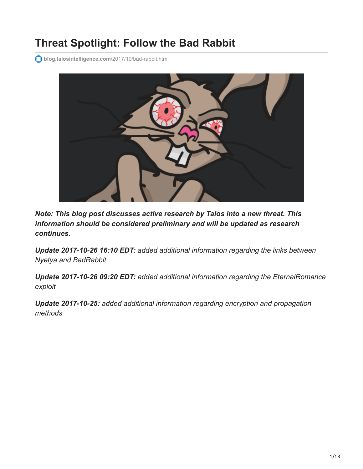# **Threat Spotlight: Follow the Bad Rabbit**

**[blog.talosintelligence.com](http://blog.talosintelligence.com/2017/10/bad-rabbit.html)**/2017/10/bad-rabbit.html



*Note: This blog post discusses active research by Talos into a new threat. This information should be considered preliminary and will be updated as research continues.*

*Update 2017-10-26 16:10 EDT: added additional information regarding the links between Nyetya and BadRabbit*

*Update 2017-10-26 09:20 EDT: added additional information regarding the EternalRomance exploit*

*Update 2017-10-25: added additional information regarding encryption and propagation methods*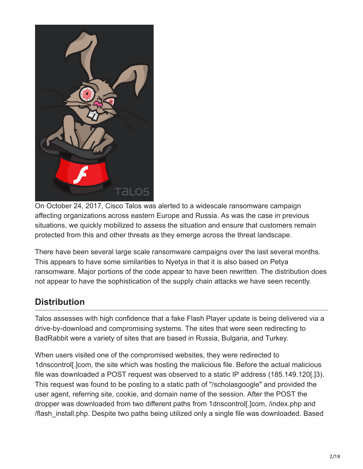

On October 24, 2017, Cisco Talos was alerted to a widescale ransomware campaign affecting organizations across eastern Europe and Russia. As was the case in previous situations, we quickly mobilized to assess the situation and ensure that customers remain protected from this and other threats as they emerge across the threat landscape.

There have been several large scale ransomware campaigns over the last several months. This appears to have some similarities to Nyetya in that it is also based on Petya ransomware. Major portions of the code appear to have been rewritten. The distribution does not appear to have the sophistication of the supply chain attacks we have seen recently.

# **Distribution**

Talos assesses with high confidence that a fake Flash Player update is being delivered via a drive-by-download and compromising systems. The sites that were seen redirecting to BadRabbit were a variety of sites that are based in Russia, Bulgaria, and Turkey.

When users visited one of the compromised websites, they were redirected to 1dnscontrol[.]com, the site which was hosting the malicious file. Before the actual malicious file was downloaded a POST request was observed to a static IP address (185.149.120[.]3). This request was found to be posting to a static path of "/scholasgoogle" and provided the user agent, referring site, cookie, and domain name of the session. After the POST the dropper was downloaded from two different paths from 1dnscontrol[.]com, /index.php and /flash\_install.php. Despite two paths being utilized only a single file was downloaded. Based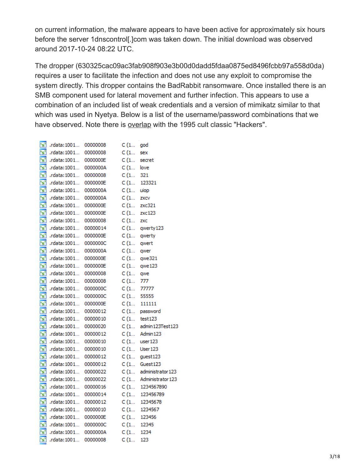on current information, the malware appears to have been active for approximately six hours before the server 1dnscontrol[.]com was taken down. The initial download was observed around 2017-10-24 08:22 UTC.

The dropper (630325cac09ac3fab908f903e3b00d0dadd5fdaa0875ed8496fcbb97a558d0da) requires a user to facilitate the infection and does not use any exploit to compromise the system directly. This dropper contains the BadRabbit ransomware. Once installed there is an SMB component used for lateral movement and further infection. This appears to use a combination of an included list of weak credentials and a version of mimikatz similar to that which was used in Nyetya. Below is a list of the username/password combinations that we have observed. Note there is [overlap](https://www.imdb.com/title/tt0113243/quotes/qt0448608) with the 1995 cult classic "Hackers".

| $S^3$ .rdata: 1001 00000008                                                                                                                                                                                                         | $C(1$ god               |                                                         |
|-------------------------------------------------------------------------------------------------------------------------------------------------------------------------------------------------------------------------------------|-------------------------|---------------------------------------------------------|
|                                                                                                                                                                                                                                     |                         |                                                         |
| [s] .rdata:1001 0000000E C (1 secret                                                                                                                                                                                                |                         |                                                         |
| [s] .rdata:1001 0000000A C (1 love                                                                                                                                                                                                  |                         |                                                         |
| $\frac{1}{2}$ .rdata: 1001 00000008 C (1 321                                                                                                                                                                                        |                         |                                                         |
| $\frac{C_1}{S}$ .rdata:1001 0000000E<br>C (1 123321<br>S' .rdata:1001 0000000A<br>C (1 uiop<br>C (1 uiop<br>C (1 zxcv                                                                                                               |                         |                                                         |
|                                                                                                                                                                                                                                     |                         |                                                         |
|                                                                                                                                                                                                                                     |                         |                                                         |
| $\sqrt{8'}$ .rdata:1001 0000000E                                                                                                                                                                                                    | C(1 zxc321)             |                                                         |
| $S$ .rdata:1001 0000000E C (1 zxc123                                                                                                                                                                                                |                         |                                                         |
| <b>Example 12 and 12 and 12 and 13 and 13 and 13 and 13 and 13 and 13 and 13 and 13 and 13 and 13 and 14 and 14 and 14 and 14 and 14 and 14 and 14 and 15 and 16 and 16 and 16 and 16 and 16 and 16 and 16 and 16 and 16 and 16</b> |                         |                                                         |
|                                                                                                                                                                                                                                     |                         |                                                         |
|                                                                                                                                                                                                                                     |                         |                                                         |
|                                                                                                                                                                                                                                     |                         |                                                         |
|                                                                                                                                                                                                                                     |                         |                                                         |
| <b>Example 1001.</b> 00000000 C (1 qwert<br><b>Example 1001</b> 00000000A C (1 qwer<br><b>Example 1001</b> 0000000E C (1 qwe321                                                                                                     |                         |                                                         |
| [s] .rdata:1001 0000000E C(1 qwe123                                                                                                                                                                                                 |                         |                                                         |
| [s] .rdata:1001 00000008 C (1 qwe                                                                                                                                                                                                   |                         |                                                         |
| $S$ .rdata:1001 00000008 C (1 777                                                                                                                                                                                                   |                         |                                                         |
| [s] .rdata:1001 0000000C C (1 77777                                                                                                                                                                                                 |                         |                                                         |
| $S^3$ .rdata:1001 0000000C C (1 55555                                                                                                                                                                                               |                         |                                                         |
| <b>Example 12</b> and 1001 00000000E<br><b>Example 12</b> and 1001 000000012<br><b>Example 12</b> and 1001 00000010<br><b>Example 123</b><br><b>Example 123</b>                                                                     |                         |                                                         |
|                                                                                                                                                                                                                                     |                         |                                                         |
|                                                                                                                                                                                                                                     |                         |                                                         |
|                                                                                                                                                                                                                                     |                         | $\frac{1}{2}$ .rdata:1001 00000020 C (1 admin123Test123 |
| [s] .rdata:1001 00000012 C (1 Admin123                                                                                                                                                                                              |                         |                                                         |
| [s] .rdata:1001 00000010 C (1 user123                                                                                                                                                                                               |                         |                                                         |
| $\frac{1}{2}$ .rdata:1001 00000010 C (1 User123                                                                                                                                                                                     |                         |                                                         |
| $\frac{1}{2}$ .rdata:1001 00000012 C (1 guest123                                                                                                                                                                                    |                         |                                                         |
| $s^2$ .rdata:1001 00000012                                                                                                                                                                                                          |                         | C (1    Guest 123<br>C (1    administrator 123          |
| $\frac{1}{\sqrt{8}}$ .rdata: 1001 00000022<br>$\frac{1}{\sqrt{8}}$ .rdata: 1001 00000022                                                                                                                                            |                         |                                                         |
|                                                                                                                                                                                                                                     |                         | $C(1$ Administrator 123                                 |
| $S$ .rdata:1001 00000016 C (1 1234567890                                                                                                                                                                                            |                         |                                                         |
|                                                                                                                                                                                                                                     |                         |                                                         |
| <b>Example 123456789</b><br><b>Example 123456789</b><br><b>Example 123456789</b><br><b>Example 12345678</b><br><b>Example 12345678</b><br><b>Example 12345678</b><br><b>Example 1234567</b><br><b>Example 1234567</b>               |                         |                                                         |
|                                                                                                                                                                                                                                     |                         |                                                         |
| (c) $r$ (data:1001 0000000E C (1 123456                                                                                                                                                                                             |                         |                                                         |
|                                                                                                                                                                                                                                     | C (1 12345<br>C (1 1234 |                                                         |
| $\frac{1}{3}$ .rdata: 1001 0000000A                                                                                                                                                                                                 |                         |                                                         |
| $\overline{S}$ .rdata:1001 00000008 C (1                                                                                                                                                                                            |                         | 123                                                     |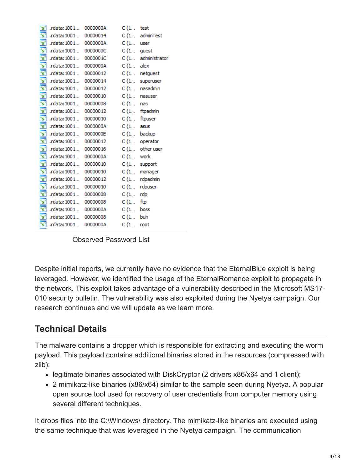| $\frac{1}{2}$ .rdata: 1001 0000000A                                                                    | $C(1$ test    |                |
|--------------------------------------------------------------------------------------------------------|---------------|----------------|
| $s^3$ .rdata: 1001 00000014                                                                            |               | C (1 adminTest |
| [s] .rdata:1001 0000000A C (1 user                                                                     |               |                |
| $\boxed{S}$ .rdata:1001 0000000C C (1 guest                                                            |               |                |
| $\frac{1}{\sqrt{2}}$ .rdata:1001 0000001C C(1 administrator                                            |               |                |
| [s] .rdata:1001 0000000A C (1 alex                                                                     |               |                |
|                                                                                                        |               |                |
| (s) rdata:1001 00000012 C(1 netguest<br>(s) rdata:1001 00000014 C(1 superuser                          |               |                |
| $\overline{S}$ .rdata:1001 00000012 C(1 nasadmin                                                       |               |                |
| $\sqrt{8'}$ .rdata:1001 00000010                                                                       | $C(1$ nasuser |                |
| [s] .rdata:1001 00000008                                                                               | $C(1$ nas     |                |
|                                                                                                        |               |                |
| [s] .rdata:1001 00000010 C (1 ftpuser                                                                  |               |                |
| $\frac{[S]}{[S]}$ .rdata:1001 0000000A C (1 asus<br>$\frac{[S]}{[S]}$ .rdata:1001 0000000E C (1 backup |               |                |
|                                                                                                        |               |                |
| [s] .rdata:1001 00000012 C (1 operator                                                                 |               |                |
| [s] .rdata:1001 00000016 C (1 other user                                                               |               |                |
| $\sqrt{S^2}$ .rdata:1001 0000000A                                                                      | $C(1$ work    |                |
| $\frac{1}{2}$ .rdata: 1001 00000010 C (1 support                                                       |               |                |
| $S$ .rdata:1001 00000010 C(1 manager                                                                   |               |                |
| $\boxed{S'}$ .rdata:1001 00000012                                                                      |               | C (1 rdpadmin  |
| $\frac{1}{2}$ .rdata:1001 00000010 C (1 rdpuser                                                        |               |                |
| [s] .rdata:1001 00000008 C (1 rdp                                                                      |               |                |
| $\frac{F_S^3}{2}$ .rdata:1001 00000008                                                                 | $C(1$ ftp     |                |
| $\frac{1}{2}$ .rdata:1001 0000000A C (1 boss                                                           |               |                |
| [s] .rdata:1001 00000008 C (1 buh                                                                      |               |                |
| $\mathbf{S}^3$ .rdata:1001 0000000A                                                                    | $C(1$ root    |                |
|                                                                                                        |               |                |

Observed Password List

Despite initial reports, we currently have no evidence that the EternalBlue exploit is being leveraged. However, we identified the usage of the EternalRomance exploit to propagate in the network. This exploit takes advantage of a vulnerability described in the Microsoft MS17- 010 security bulletin. The vulnerability was also exploited during the Nyetya campaign. Our research continues and we will update as we learn more.

# **Technical Details**

The malware contains a dropper which is responsible for extracting and executing the worm payload. This payload contains additional binaries stored in the resources (compressed with zlib):

- legitimate binaries associated with DiskCryptor (2 drivers x86/x64 and 1 client);
- 2 mimikatz-like binaries (x86/x64) similar to the sample seen during Nyetya. A popular open source tool used for recovery of user credentials from computer memory using several different techniques.

It drops files into the C:\Windows\ directory. The mimikatz-like binaries are executed using the same technique that was leveraged in the Nyetya campaign. The communication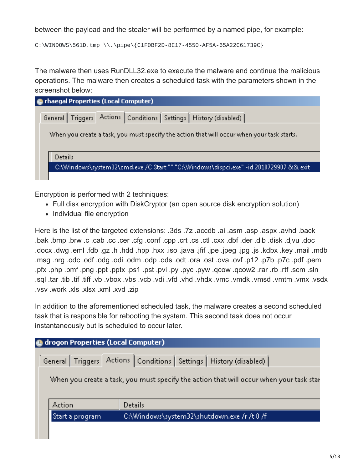between the payload and the stealer will be performed by a named pipe, for example:

C:\WINDOWS\561D.tmp \\.\pipe\{C1F0BF2D-8C17-4550-AF5A-65A22C61739C}

The malware then uses RunDLL32.exe to execute the malware and continue the malicious operations. The malware then creates a scheduled task with the parameters shown in the screenshot below:

| <b>C</b> rhaegal Properties (Local Computer)                                               |  |  |  |  |  |  |  |
|--------------------------------------------------------------------------------------------|--|--|--|--|--|--|--|
| General   Triggers   Actions   Conditions   Settings   History (disabled)                  |  |  |  |  |  |  |  |
| When you create a task, you must specify the action that will occur when your task starts. |  |  |  |  |  |  |  |
| <b>Details</b>                                                                             |  |  |  |  |  |  |  |
| C:\Windows\system32\cmd.exe /C Start "" "C:\Windows\dispci.exe" -id 2018729907 && exit     |  |  |  |  |  |  |  |
|                                                                                            |  |  |  |  |  |  |  |

Encryption is performed with 2 techniques:

- Full disk encryption with DiskCryptor (an open source disk encryption solution)
- Individual file encryption

Here is the list of the targeted extensions: .3ds .7z .accdb .ai .asm .asp .aspx .avhd .back .bak .bmp .brw .c .cab .cc .cer .cfg .conf .cpp .crt .cs .ctl .cxx .dbf .der .dib .disk .djvu .doc .docx .dwg .eml .fdb .gz .h .hdd .hpp .hxx .iso .java .jfif .jpe .jpeg .jpg .js .kdbx .key .mail .mdb msg .nrg odc .odf .odg .odi .odn .odp .ods .odt .ora .ost .ova .ovf .p7c .pdf .p7c .pdf .pem .pfx .php .pmf .png .ppt .pptx .ps1 .pst .pvi .py .pyc .pyw .qcow .qcow2 .rar .rb .rtf .scm .sln .sql .tar .tib .tif .tiff .vb .vbox .vbs .vcb .vdi .vfd .vhd .vhdx .vmc .vmdk .vmsd .vmtm .vmx .vsdx .vsv .work .xls .xlsx .xml .xvd .zip

In addition to the aforementioned scheduled task, the malware creates a second scheduled task that is responsible for rebooting the system. This second task does not occur instantaneously but is scheduled to occur later.

| <b>C</b> drogon Properties (Local Computer) |                                                                                                                                                                        |  |  |  |  |  |  |  |  |
|---------------------------------------------|------------------------------------------------------------------------------------------------------------------------------------------------------------------------|--|--|--|--|--|--|--|--|
|                                             | General   Triggers   Actions   Conditions   Settings   History (disabled)  <br>When you create a task, you must specify the action that will occur when your task star |  |  |  |  |  |  |  |  |
| Action                                      | <b>Details</b>                                                                                                                                                         |  |  |  |  |  |  |  |  |
| Start a program                             | C:\Windows\system32\shutdown.exe /r /t 0 /f                                                                                                                            |  |  |  |  |  |  |  |  |
|                                             |                                                                                                                                                                        |  |  |  |  |  |  |  |  |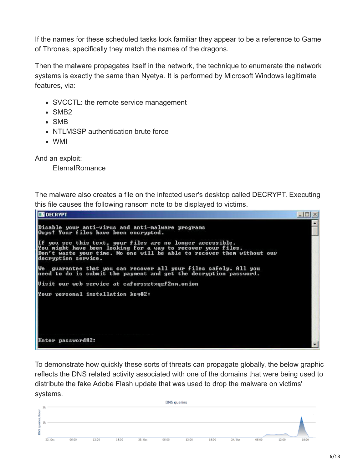If the names for these scheduled tasks look familiar they appear to be a reference to Game of Thrones, specifically they match the names of the dragons.

Then the malware propagates itself in the network, the technique to enumerate the network systems is exactly the same than Nyetya. It is performed by Microsoft Windows legitimate features, via:

- SVCCTL: the remote service management
- SMB<sub>2</sub>
- SMB
- NTLMSSP authentication brute force
- WMI

And an exploit:

**EternalRomance** 

The malware also creates a file on the infected user's desktop called DECRYPT. Executing this file causes the following ransom note to be displayed to victims.



To demonstrate how quickly these sorts of threats can propagate globally, the below graphic reflects the DNS related activity associated with one of the domains that were being used to distribute the fake Adobe Flash update that was used to drop the malware on victims' systems.

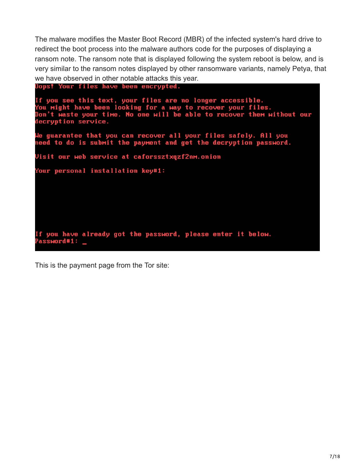The malware modifies the Master Boot Record (MBR) of the infected system's hard drive to redirect the boot process into the malware authors code for the purposes of displaying a ransom note. The ransom note that is displayed following the system reboot is below, and is very similar to the ransom notes displayed by other ransomware variants, namely Petya, that we have observed in other notable attacks this year.

Oops! Your files have been encrypted.

```
If you see this text, your files are no longer accessible.<br>You might have been looking for a way to recover your files.<br>Don't waste your time. No one will be able to recover them without our
decryption service.
We guarantee that you can recover all your files safely. All you
need to do is submit the payment and get the decryption password.
Visit our web service at caforssztxqzf2nm.onion
Your personal installation key#1:
If you have already got the password, please enter it below.
Password#1: _
```
This is the payment page from the Tor site: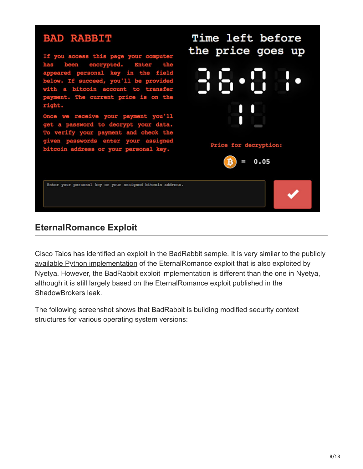

### **EternalRomance Exploit**

[Cisco Talos has identified an exploit in the BadRabbit sample. It is very similar to the publicly](https://github.com/worawit/MS17-010/blob/master/zzz_exploit.py) available Python implementation of the EternalRomance exploit that is also exploited by Nyetya. However, the BadRabbit exploit implementation is different than the one in Nyetya, although it is still largely based on the EternalRomance exploit published in the ShadowBrokers leak.

The following screenshot shows that BadRabbit is building modified security context structures for various operating system versions: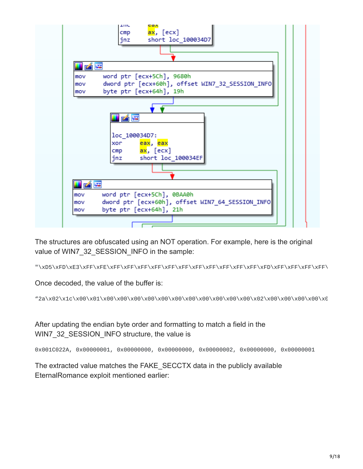

The structures are obfuscated using an NOT operation. For example, here is the original value of WIN7\_32\_SESSION\_INFO in the sample:

"\xD5\xFD\xE3\xFF\xFE\xFF\xFF\xFF\xFF\xFF\xFF\xFF\xFF\xFF\xFF\xFF\xFD\xFF\xFF\xFF\xFF\

Once decoded, the value of the buffer is:

"2a\x02\x1c\x00\x01\x00\x00\x00\x00\x00\x00\x00\x00\x00\x00\x00\x02\x00\x00\x00\x00\x0

After updating the endian byte order and formatting to match a field in the WIN7\_32\_SESSION\_INFO structure, the value is

0x001C022A, 0x00000001, 0x00000000, 0x00000000, 0x00000002, 0x00000000, 0x00000001

The extracted value matches the FAKE\_SECCTX data in the publicly available EternalRomance exploit mentioned earlier: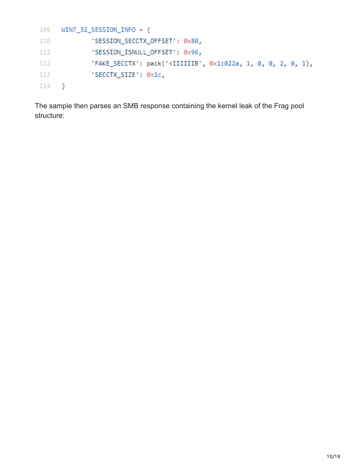```
109
     WIN7_32_SESSION_INFO = {'SESSION_SECCTX_OFFSET': 0x80,
110
111'SESSION_ISNULL_OFFSET': 0x96,
112
             'FAKE_SECCTX': pack('<IIIIIIB', 0x1c022a, 1, 0, 0, 2, 0, 1),
             'SECCTX_SIZE': 0x1c,
113
114 }
```
The sample then parses an SMB response containing the kernel leak of the Frag pool structure: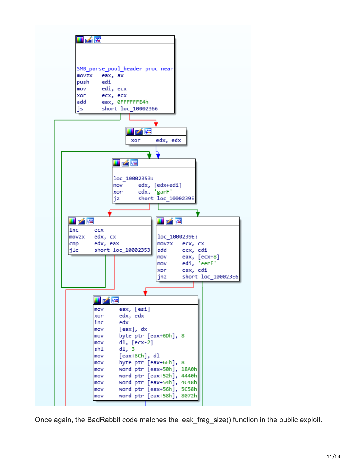

Once again, the BadRabbit code matches the leak frag size() function in the public exploit.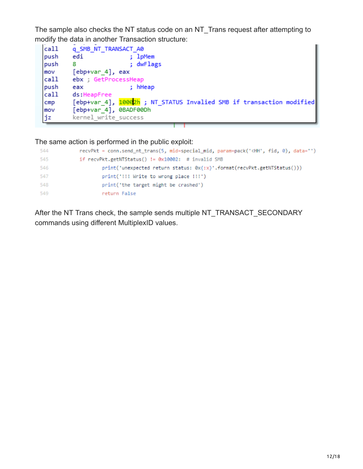The sample also checks the NT status code on an NT\_Trans request after attempting to modify the data in another Transaction structure:



The same action is performed in the public exploit:

| 544 | recvPkt = conn.send_nt_trans(5, mid=special_mid, param=pack(' <hh', )<="" 0),="" data="" fid,="" th=""></hh',> |
|-----|----------------------------------------------------------------------------------------------------------------|
| 545 | if recvPkt.getNTStatus() != $0x10002$ : # invalid SMB                                                          |
| 546 | print('unexpected return status: 0x{:x}'.format(recvPkt.getNTStatus()))                                        |
| 547 | print('!!! Write to wrong place !!!')                                                                          |
| 548 | print('the target might be crashed')                                                                           |
| 549 | return False                                                                                                   |

After the NT Trans check, the sample sends multiple NT\_TRANSACT\_SECONDARY commands using different MultiplexID values.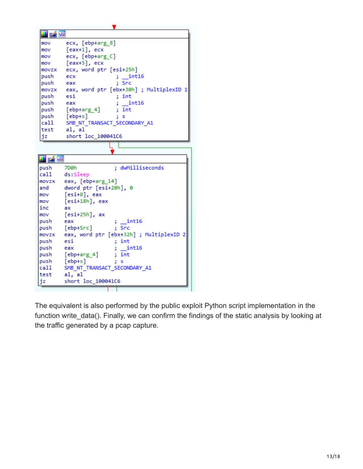

The equivalent is also performed by the public exploit Python script implementation in the function write data(). Finally, we can confirm the findings of the static analysis by looking at the traffic generated by a pcap capture.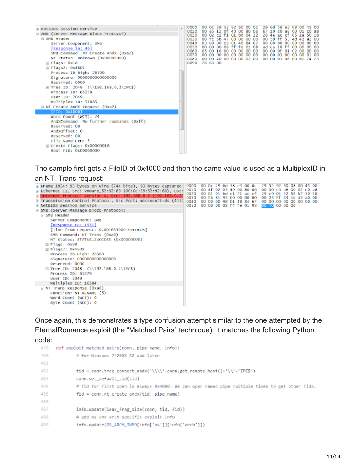| <b>E NetBIOS Session Service</b><br>⊟ SMB (Server Message Block Protocol)<br>□ SMB Header<br>Server Component: SMB<br>[Response in: 46]<br>SMB Command: NT Create AndX (Oxa2)<br>NT Status: Unknown (0x00000300)<br>$\boxplus$ Flags: 0x18<br>⊞ Flags2: 0x4801 | 0000<br>0010<br>0020<br>0030<br>0040<br>0050<br>0060<br>0070<br>0080<br>0090 | OO. | 00 Oc 29 52 92 60 00 Oc<br>00 02 c1 f1 01 bd 04 22<br>00 fc 5b 47<br>03 00<br>$\infty$<br>05 00 16<br>00 00 00 00 00 00 00 00<br>00 00 40 00 00 00 02 00<br>76 63 00 | 00 18<br>oo | - Of<br>OS<br>00 | 40.<br>OO.<br>01<br>TT.<br>00 00 00 00 | $\Omega$<br>00 00 00<br>48 84 67<br>Ťе | 80<br>01 08 | OG | 29.<br>67<br>00 00 | $6d$ 58 $e3$<br>10.<br>28 4e ac cf<br>00 59 ff<br>ad ca 18 ff<br>00 00 9f | CO.<br>OO. | a8<br>53<br>-00<br>01<br>00 00 03 00 00 | $_{08}$<br>$^{05}$<br>4d<br>$\infty$<br>$^{oo}$<br>-02 | oo<br>1 а<br>oo<br>$^{oo}$<br>00<br>00<br>00 00 03 06 00 61 74 73 | 50 18<br>a2 00<br>00 00<br>00 00<br>00 00<br>01 00 | 500<br>a8 |
|----------------------------------------------------------------------------------------------------------------------------------------------------------------------------------------------------------------------------------------------------------------|------------------------------------------------------------------------------|-----|----------------------------------------------------------------------------------------------------------------------------------------------------------------------|-------------|------------------|----------------------------------------|----------------------------------------|-------------|----|--------------------|---------------------------------------------------------------------------|------------|-----------------------------------------|--------------------------------------------------------|-------------------------------------------------------------------|----------------------------------------------------|-----------|
| Process ID High: 26500<br>Signature: 0000000000000000<br>Reserved: 0000<br>$\boxplus$ Tree ID: 2048 (\\192.168.0.2\IPC\$)<br>Process ID: 65279<br>User ID: 2049<br>Multiplex ID: 51885<br>$\boxminus$ NT Create AndX Request (0xa2)                            |                                                                              |     |                                                                                                                                                                      |             |                  |                                        |                                        |             |    |                    |                                                                           |            |                                         |                                                        |                                                                   |                                                    |           |
| [FD: 0x4000]<br>Word Count (WCT): 24<br>AndXCommand: No further commands (Oxff)<br>Reserved: 00<br>Andxoffset: 0<br>Reserved: 00<br>File Name Len: 5<br>⊞ Create Flags: 0x00000016<br>Root FID: 0x00000000                                                     |                                                                              |     |                                                                                                                                                                      |             |                  |                                        |                                        |             |    |                    |                                                                           |            |                                         |                                                        |                                                                   |                                                    |           |

The sample first gets a FileID of 0x4000 and then the same value is used as a MultiplexID in an NT\_Trans request:

| ⊞ Frame 1934: 93 bytes on wire (744 bits), 93 bytes captured<br>⊞ Ethernet II, Src: Vmware_52:92:60 (00:0c:29:52:92:60), Dst:<br>E Internet Protocol Version 4, Src: 192.168.0.2 (192.168.0.2)<br>E Transmission Control Protocol, Src Port: microsoft-ds (445)<br><b>E NetBIOS Session Service</b><br>⊟ SMB (Server Message Block Protocol)<br><b>EL SMB</b> Header<br>Server Component: SMB<br>Response to: 1931]<br>[Time from request: 0.001635000 seconds]<br>SMB Command: NT Trans (0xa0)<br>NT Status: STATUS_SUCCESS (0x00000000)<br>⊞ Flags: Ox98<br>$\boxplus$ Flags2: 0x4801<br>Process ID High: 26500<br>Signature: 0000000000000000<br>Reserved: 0000 | 0000<br>0010<br>0020<br>0030<br>0040<br>0050 |  | 00 4f 02 05 40 00 80 06<br>00 fb 81 95 00 00 00 00 | 58 |  | 0c<br>00 01 01 bd c1 f1 ac cf<br>00 00 00 98 01 48 84 67<br>00 00 00 08 ff fe 01 08 | 00 00 00 00 00 00 00 00<br>00 40 00 00 00 | 29.52 | 00 00 c0 a8 00<br>29 c9 04 22 52<br>00 23 ff 53 4d 42 a0 00 | b7 | 50 18 |  |
|--------------------------------------------------------------------------------------------------------------------------------------------------------------------------------------------------------------------------------------------------------------------------------------------------------------------------------------------------------------------------------------------------------------------------------------------------------------------------------------------------------------------------------------------------------------------------------------------------------------------------------------------------------------------|----------------------------------------------|--|----------------------------------------------------|----|--|-------------------------------------------------------------------------------------|-------------------------------------------|-------|-------------------------------------------------------------|----|-------|--|
| $\boxplus$ Tree ID: 2048 (\\192.168.0.2\IPC\$)<br>Process ID: 65279                                                                                                                                                                                                                                                                                                                                                                                                                                                                                                                                                                                                |                                              |  |                                                    |    |  |                                                                                     |                                           |       |                                                             |    |       |  |
| User ID: 2049                                                                                                                                                                                                                                                                                                                                                                                                                                                                                                                                                                                                                                                      |                                              |  |                                                    |    |  |                                                                                     |                                           |       |                                                             |    |       |  |
| Multiplex ID: 16384<br>$\equiv$ NT Trans Response (0xa0)                                                                                                                                                                                                                                                                                                                                                                                                                                                                                                                                                                                                           |                                              |  |                                                    |    |  |                                                                                     |                                           |       |                                                             |    |       |  |
| Function: NT RENAME (5)                                                                                                                                                                                                                                                                                                                                                                                                                                                                                                                                                                                                                                            |                                              |  |                                                    |    |  |                                                                                     |                                           |       |                                                             |    |       |  |
| Word Count (WCT): 0                                                                                                                                                                                                                                                                                                                                                                                                                                                                                                                                                                                                                                                |                                              |  |                                                    |    |  |                                                                                     |                                           |       |                                                             |    |       |  |
| Byte Count (BCC): 0                                                                                                                                                                                                                                                                                                                                                                                                                                                                                                                                                                                                                                                |                                              |  |                                                    |    |  |                                                                                     |                                           |       |                                                             |    |       |  |

Once again, this demonstrates a type confusion attempt similar to the one attempted by the EternalRomance exploit (the "Matched Pairs" technique). It matches the following Python code:

```
479 def exploit_matched_pairs(conn, pipe_name, info):
480
             # for Windows 7/2008 R2 and later
481
482
             tid = conn.tree_connect_andx('\\\\'+conn.get_remote_host()+'\\'+'IPC$')
483
             conn.set_default_tid(tid)
484
             # fid for first open is always 0x4000. We can open named pipe multiple times to get other fids.
485
             fid = conn.nt_create_andx(tid, pipe_name)
486
487
             info.update(leak_frag_size(conn, tid, fid))
488
             # add os and arch specific exploit info
              info.update(OS_ARCH_INFO[info['os']][info['arch']])
489
```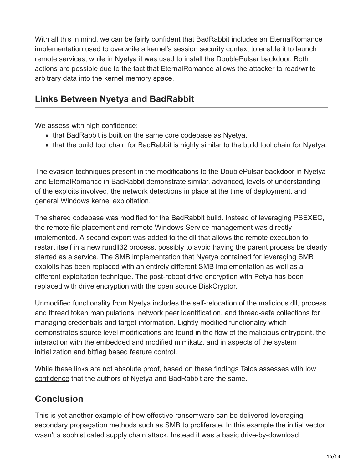With all this in mind, we can be fairly confident that BadRabbit includes an EternalRomance implementation used to overwrite a kernel's session security context to enable it to launch remote services, while in Nyetya it was used to install the DoublePulsar backdoor. Both actions are possible due to the fact that EternalRomance allows the attacker to read/write arbitrary data into the kernel memory space.

## **Links Between Nyetya and BadRabbit**

We assess with high confidence:

- that BadRabbit is built on the same core codebase as Nyetya.
- that the build tool chain for BadRabbit is highly similar to the build tool chain for Nyetya.

The evasion techniques present in the modifications to the DoublePulsar backdoor in Nyetya and EternalRomance in BadRabbit demonstrate similar, advanced, levels of understanding of the exploits involved, the network detections in place at the time of deployment, and general Windows kernel exploitation.

The shared codebase was modified for the BadRabbit build. Instead of leveraging PSEXEC, the remote file placement and remote Windows Service management was directly implemented. A second export was added to the dll that allows the remote execution to restart itself in a new rundll32 process, possibly to avoid having the parent process be clearly started as a service. The SMB implementation that Nyetya contained for leveraging SMB exploits has been replaced with an entirely different SMB implementation as well as a different exploitation technique. The post-reboot drive encryption with Petya has been replaced with drive encryption with the open source DiskCryptor.

Unmodified functionality from Nyetya includes the self-relocation of the malicious dll, process and thread token manipulations, network peer identification, and thread-safe collections for managing credentials and target information. Lightly modified functionality which demonstrates source level modifications are found in the flow of the malicious entrypoint, the interaction with the embedded and modified mimikatz, and in aspects of the system initialization and bitflag based feature control.

[While these links are not absolute proof, based on these findings Talos assesses with low](http://blog.talosintelligence.com/2017/08/on-conveying-doubt.html) confidence that the authors of Nyetya and BadRabbit are the same.

# **Conclusion**

This is yet another example of how effective ransomware can be delivered leveraging secondary propagation methods such as SMB to proliferate. In this example the initial vector wasn't a sophisticated supply chain attack. Instead it was a basic drive-by-download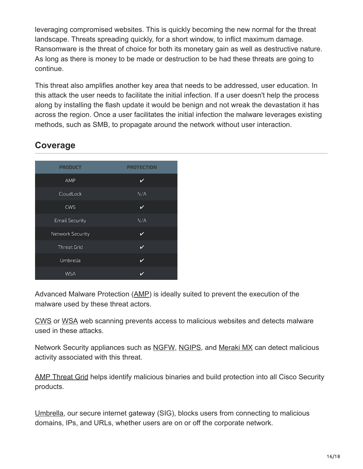leveraging compromised websites. This is quickly becoming the new normal for the threat landscape. Threats spreading quickly, for a short window, to inflict maximum damage. Ransomware is the threat of choice for both its monetary gain as well as destructive nature. As long as there is money to be made or destruction to be had these threats are going to continue.

This threat also amplifies another key area that needs to be addressed, user education. In this attack the user needs to facilitate the initial infection. If a user doesn't help the process along by installing the flash update it would be benign and not wreak the devastation it has across the region. Once a user facilitates the initial infection the malware leverages existing methods, such as SMB, to propagate around the network without user interaction.

#### **Coverage**

| <b>PRODUCT</b>          | <b>PROTECTION</b> |
|-------------------------|-------------------|
| AMP                     | v                 |
| CloudLock               | N/A               |
| <b>CWS</b>              | v                 |
| <b>Email Security</b>   | N/A               |
| <b>Network Security</b> | v                 |
| <b>Threat Grid</b>      | v                 |
| Umbrella                | v                 |
| WSA                     | び                 |

Advanced Malware Protection ([AMP\)](https://www.cisco.com/c/en/us/products/security/advanced-malware-protection) is ideally suited to prevent the execution of the malware used by these threat actors.

[CWS](https://www.cisco.com/c/en/us/products/security/cloud-web-security/index.html) or [WSA](https://www.cisco.com/c/en/us/products/security/web-security-appliance/index.html) web scanning prevents access to malicious websites and detects malware used in these attacks.

Network Security appliances such as [NGFW](https://www.cisco.com/c/en/us/products/security/firewalls/index.html), [NGIPS](https://www.cisco.com/c/en/us/products/security/intrusion-prevention-system-ips/index.html), and [Meraki MX](https://meraki.cisco.com/products/appliances) can detect malicious activity associated with this threat.

[AMP Threat Grid](https://www.cisco.com/c/en/us/solutions/enterprise-networks/amp-threat-grid/index.html) helps identify malicious binaries and build protection into all Cisco Security products.

[Umbrella](https://umbrella.cisco.com/), our secure internet gateway (SIG), blocks users from connecting to malicious domains, IPs, and URLs, whether users are on or off the corporate network.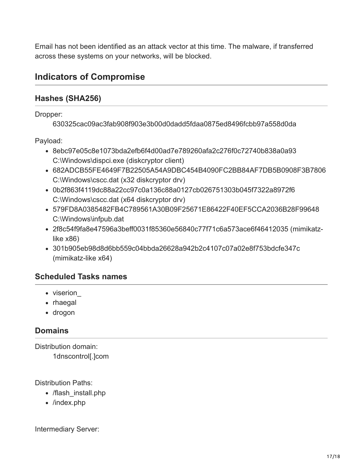Email has not been identified as an attack vector at this time. The malware, if transferred across these systems on your networks, will be blocked.

#### **Indicators of Compromise**

#### **Hashes (SHA256)**

Dropper:

630325cac09ac3fab908f903e3b00d0dadd5fdaa0875ed8496fcbb97a558d0da

Payload:

- 8ebc97e05c8e1073bda2efb6f4d00ad7e789260afa2c276f0c72740b838a0a93 C:\Windows\dispci.exe (diskcryptor client)
- 682ADCB55FE4649F7B22505A54A9DBC454B4090FC2BB84AF7DB5B0908F3B7806 C:\Windows\cscc.dat (x32 diskcryptor drv)
- 0b2f863f4119dc88a22cc97c0a136c88a0127cb026751303b045f7322a8972f6 C:\Windows\cscc.dat (x64 diskcryptor drv)
- 579FD8A0385482FB4C789561A30B09F25671E86422F40EF5CCA2036B28F99648 C:\Windows\infpub.dat
- 2f8c54f9fa8e47596a3beff0031f85360e56840c77f71c6a573ace6f46412035 (mimikatzlike x86)
- 301b905eb98d8d6bb559c04bbda26628a942b2c4107c07a02e8f753bdcfe347c (mimikatz-like x64)

#### **Scheduled Tasks names**

- viserion
- rhaegal
- drogon

#### **Domains**

Distribution domain: 1dnscontrol[.]com

Distribution Paths:

- /flash install.php
- /index.php

Intermediary Server: